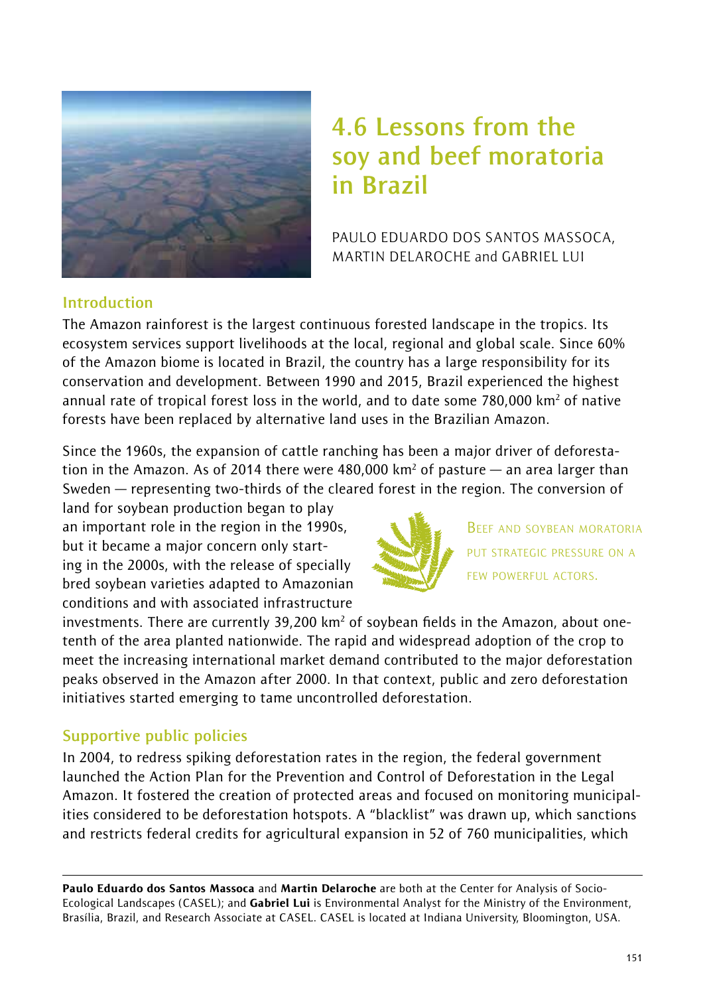

# **4.6 Lessons from the soy and beef moratoria in Brazil**

PAULO EDUARDO DOS SANTOS MASSOCA, MARTIN DELAROCHE and GABRIEL LUI

### **Introduction**

The Amazon rainforest is the largest continuous forested landscape in the tropics. Its ecosystem services support livelihoods at the local, regional and global scale. Since 60% of the Amazon biome is located in Brazil, the country has a large responsibility for its conservation and development. Between 1990 and 2015, Brazil experienced the highest annual rate of tropical forest loss in the world, and to date some 780,000 km² of native forests have been replaced by alternative land uses in the Brazilian Amazon.

Since the 1960s, the expansion of cattle ranching has been a major driver of deforestation in the Amazon. As of 2014 there were 480,000 km² of pasture — an area larger than Sweden — representing two-thirds of the cleared forest in the region. The conversion of

land for soybean production began to play an important role in the region in the 1990s, but it became a major concern only starting in the 2000s, with the release of specially bred soybean varieties adapted to Amazonian conditions and with associated infrastructure



BEEF AND SOYBEAN MORATORIA PUT STRATEGIC PRESSURE ON A FEW POWERFUL ACTORS.

investments. There are currently 39,200 km<sup>2</sup> of soybean fields in the Amazon, about onetenth of the area planted nationwide. The rapid and widespread adoption of the crop to meet the increasing international market demand contributed to the major deforestation peaks observed in the Amazon after 2000. In that context, public and zero deforestation initiatives started emerging to tame uncontrolled deforestation.

# **Supportive public policies**

In 2004, to redress spiking deforestation rates in the region, the federal government launched the Action Plan for the Prevention and Control of Deforestation in the Legal Amazon. It fostered the creation of protected areas and focused on monitoring municipalities considered to be deforestation hotspots. A "blacklist" was drawn up, which sanctions and restricts federal credits for agricultural expansion in 52 of 760 municipalities, which

Paulo Eduardo dos Santos Massoca and Martin Delaroche are both at the Center for Analysis of Socio-Ecological Landscapes (CASEL); and Gabriel Lui is Environmental Analyst for the Ministry of the Environment, Brasília, Brazil, and Research Associate at CASEL. CASEL is located at Indiana University, Bloomington, USA.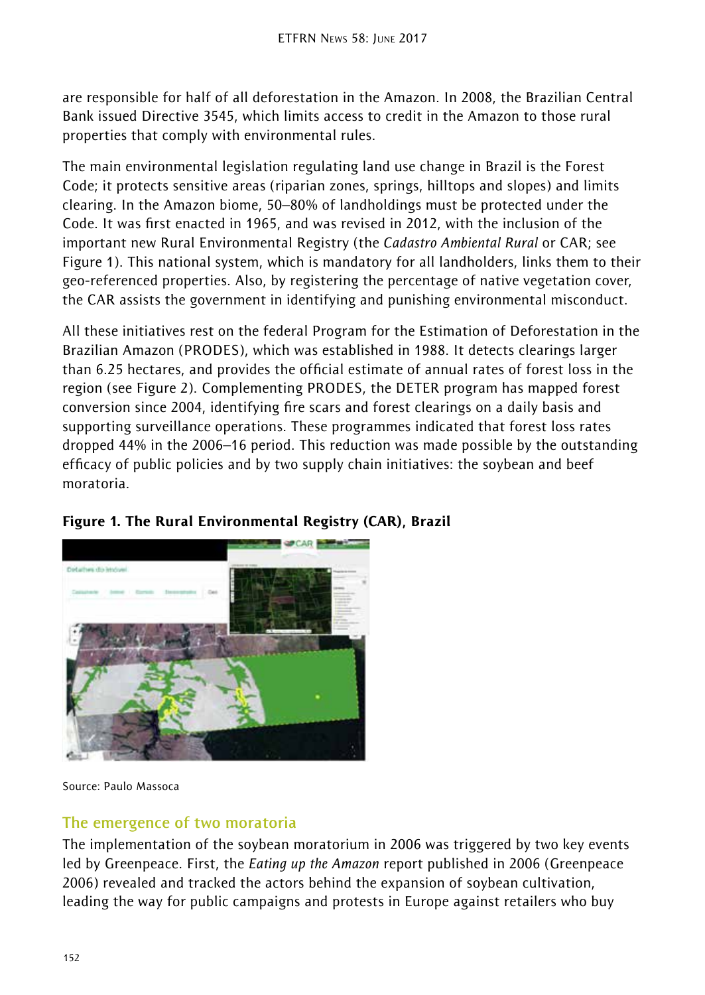are responsible for half of all deforestation in the Amazon. In 2008, the Brazilian Central Bank issued Directive 3545, which limits access to credit in the Amazon to those rural properties that comply with environmental rules.

The main environmental legislation regulating land use change in Brazil is the Forest Code; it protects sensitive areas (riparian zones, springs, hilltops and slopes) and limits clearing. In the Amazon biome, 50–80% of landholdings must be protected under the Code. It was first enacted in 1965, and was revised in 2012, with the inclusion of the important new Rural Environmental Registry (the *Cadastro Ambiental Rural* or CAR; see Figure 1). This national system, which is mandatory for all landholders, links them to their geo-referenced properties. Also, by registering the percentage of native vegetation cover, the CAR assists the government in identifying and punishing environmental misconduct.

All these initiatives rest on the federal Program for the Estimation of Deforestation in the Brazilian Amazon (PRODES), which was established in 1988. It detects clearings larger than 6.25 hectares, and provides the official estimate of annual rates of forest loss in the region (see Figure 2). Complementing PRODES, the DETER program has mapped forest conversion since 2004, identifying fire scars and forest clearings on a daily basis and supporting surveillance operations. These programmes indicated that forest loss rates dropped 44% in the 2006–16 period. This reduction was made possible by the outstanding efficacy of public policies and by two supply chain initiatives: the soybean and beef moratoria.



# Figure 1. The Rural Environmental Registry (CAR), Brazil

Source: Paulo Massoca

### **The emergence of two moratoria**

The implementation of the soybean moratorium in 2006 was triggered by two key events led by Greenpeace. First, the *Eating up the Amazon* report published in 2006 (Greenpeace 2006) revealed and tracked the actors behind the expansion of soybean cultivation, leading the way for public campaigns and protests in Europe against retailers who buy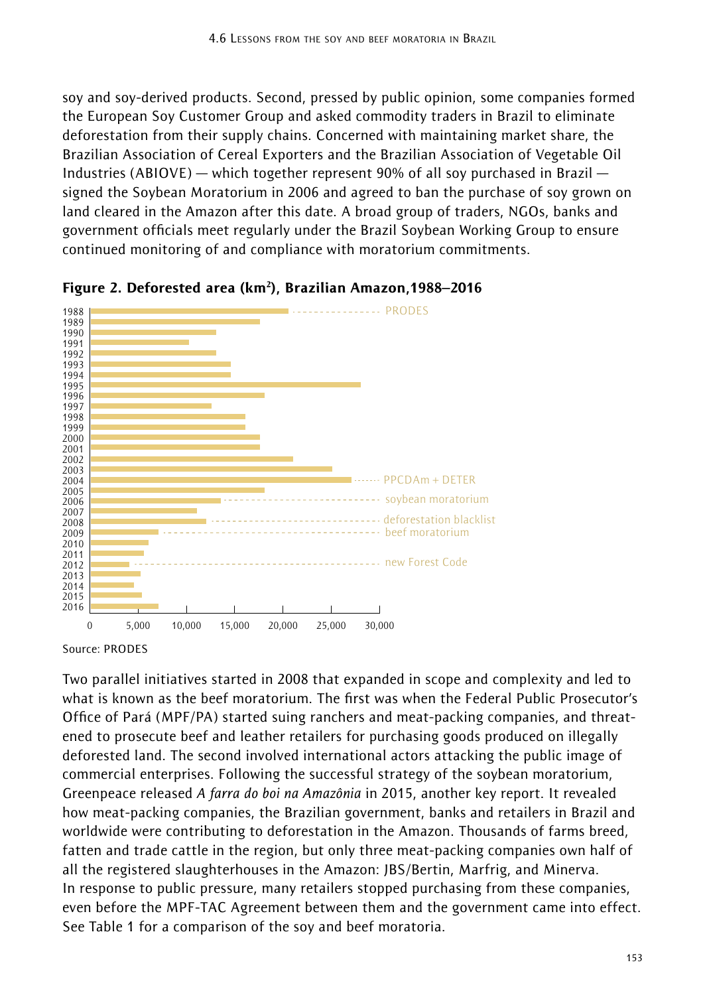soy and soy-derived products. Second, pressed by public opinion, some companies formed the European Soy Customer Group and asked commodity traders in Brazil to eliminate deforestation from their supply chains. Concerned with maintaining market share, the Brazilian Association of Cereal Exporters and the Brazilian Association of Vegetable Oil Industries (ABIOVE) — which together represent 90% of all soy purchased in Brazil signed the Soybean Moratorium in 2006 and agreed to ban the purchase of soy grown on land cleared in the Amazon after this date. A broad group of traders, NGOs, banks and government officials meet regularly under the Brazil Soybean Working Group to ensure continued monitoring of and compliance with moratorium commitments.





Source: PRODES

Two parallel initiatives started in 2008 that expanded in scope and complexity and led to what is known as the beef moratorium. The first was when the Federal Public Prosecutor's Office of Pará (MPF/PA) started suing ranchers and meat-packing companies, and threatened to prosecute beef and leather retailers for purchasing goods produced on illegally deforested land. The second involved international actors attacking the public image of commercial enterprises. Following the successful strategy of the soybean moratorium, Greenpeace released *A farra do boi na Amazônia* in 2015, another key report. It revealed how meat-packing companies, the Brazilian government, banks and retailers in Brazil and worldwide were contributing to deforestation in the Amazon. Thousands of farms breed, fatten and trade cattle in the region, but only three meat-packing companies own half of all the registered slaughterhouses in the Amazon: JBS/Bertin, Marfrig, and Minerva. In response to public pressure, many retailers stopped purchasing from these companies, even before the MPF-TAC Agreement between them and the government came into effect. See Table 1 for a comparison of the soy and beef moratoria.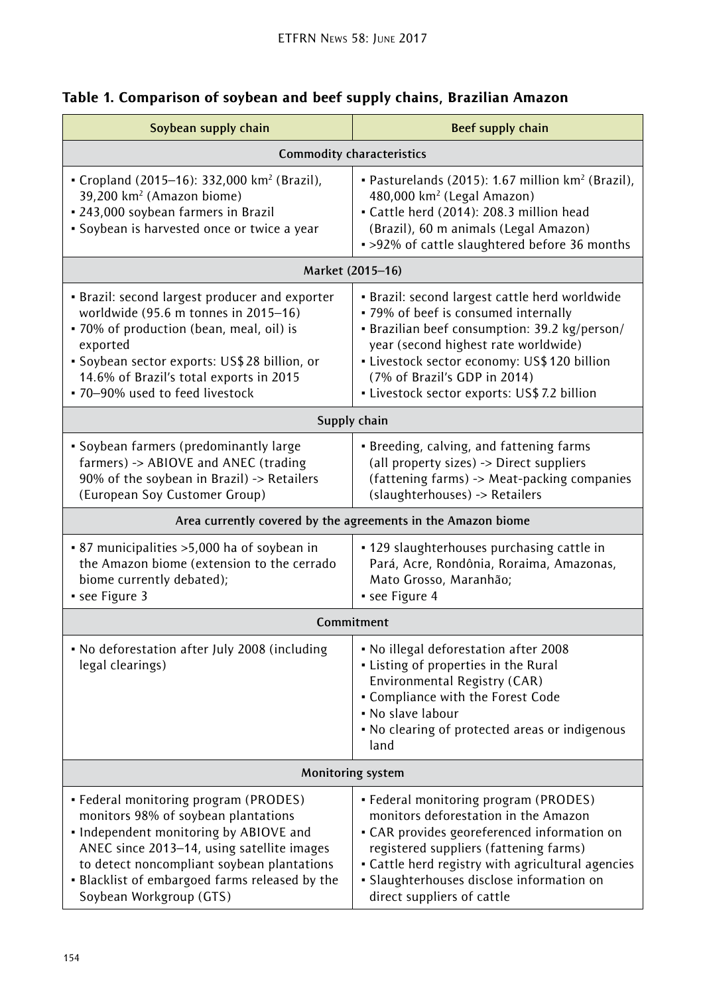| Soybean supply chain                                                                                                                                                                                                                                                                            | Beef supply chain                                                                                                                                                                                                                                                                                              |
|-------------------------------------------------------------------------------------------------------------------------------------------------------------------------------------------------------------------------------------------------------------------------------------------------|----------------------------------------------------------------------------------------------------------------------------------------------------------------------------------------------------------------------------------------------------------------------------------------------------------------|
| <b>Commodity characteristics</b>                                                                                                                                                                                                                                                                |                                                                                                                                                                                                                                                                                                                |
| • Cropland (2015-16): 332,000 km <sup>2</sup> (Brazil),<br>39,200 km <sup>2</sup> (Amazon biome)<br>• 243,000 soybean farmers in Brazil<br>· Soybean is harvested once or twice a year                                                                                                          | • Pasturelands (2015): 1.67 million km <sup>2</sup> (Brazil),<br>480,000 km <sup>2</sup> (Legal Amazon)<br>• Cattle herd (2014): 208.3 million head<br>(Brazil), 60 m animals (Legal Amazon)<br>. >92% of cattle slaughtered before 36 months                                                                  |
| Market (2015-16)                                                                                                                                                                                                                                                                                |                                                                                                                                                                                                                                                                                                                |
| · Brazil: second largest producer and exporter<br>worldwide (95.6 m tonnes in 2015-16)<br>· 70% of production (bean, meal, oil) is<br>exported<br>· Soybean sector exports: US\$28 billion, or<br>14.6% of Brazil's total exports in 2015<br>. 70-90% used to feed livestock                    | · Brazil: second largest cattle herd worldwide<br>• 79% of beef is consumed internally<br>• Brazilian beef consumption: 39.2 kg/person/<br>year (second highest rate worldwide)<br>· Livestock sector economy: US\$ 120 billion<br>(7% of Brazil's GDP in 2014)<br>· Livestock sector exports: US\$7.2 billion |
| Supply chain                                                                                                                                                                                                                                                                                    |                                                                                                                                                                                                                                                                                                                |
| • Soybean farmers (predominantly large<br>farmers) -> ABIOVE and ANEC (trading<br>90% of the soybean in Brazil) -> Retailers<br>(European Soy Customer Group)                                                                                                                                   | · Breeding, calving, and fattening farms<br>(all property sizes) -> Direct suppliers<br>(fattening farms) -> Meat-packing companies<br>(slaughterhouses) -> Retailers                                                                                                                                          |
| Area currently covered by the agreements in the Amazon biome                                                                                                                                                                                                                                    |                                                                                                                                                                                                                                                                                                                |
| • 87 municipalities > 5,000 ha of soybean in<br>the Amazon biome (extension to the cerrado<br>biome currently debated);<br>see Figure 3                                                                                                                                                         | • 129 slaughterhouses purchasing cattle in<br>Pará, Acre, Rondônia, Roraima, Amazonas,<br>Mato Grosso, Maranhão;<br>• see Figure 4                                                                                                                                                                             |
| Commitment                                                                                                                                                                                                                                                                                      |                                                                                                                                                                                                                                                                                                                |
| • No deforestation after July 2008 (including<br>legal clearings)                                                                                                                                                                                                                               | • No illegal deforestation after 2008<br>• Listing of properties in the Rural<br>Environmental Registry (CAR)<br>• Compliance with the Forest Code<br>• No slave labour<br>. No clearing of protected areas or indigenous<br>land                                                                              |
| <b>Monitoring system</b>                                                                                                                                                                                                                                                                        |                                                                                                                                                                                                                                                                                                                |
| • Federal monitoring program (PRODES)<br>monitors 98% of soybean plantations<br>. Independent monitoring by ABIOVE and<br>ANEC since 2013-14, using satellite images<br>to detect noncompliant soybean plantations<br>. Blacklist of embargoed farms released by the<br>Soybean Workgroup (GTS) | • Federal monitoring program (PRODES)<br>monitors deforestation in the Amazon<br>• CAR provides georeferenced information on<br>registered suppliers (fattening farms)<br>• Cattle herd registry with agricultural agencies<br>· Slaughterhouses disclose information on<br>direct suppliers of cattle         |

# Table 1. Comparison of soybean and beef supply chains, Brazilian Amazon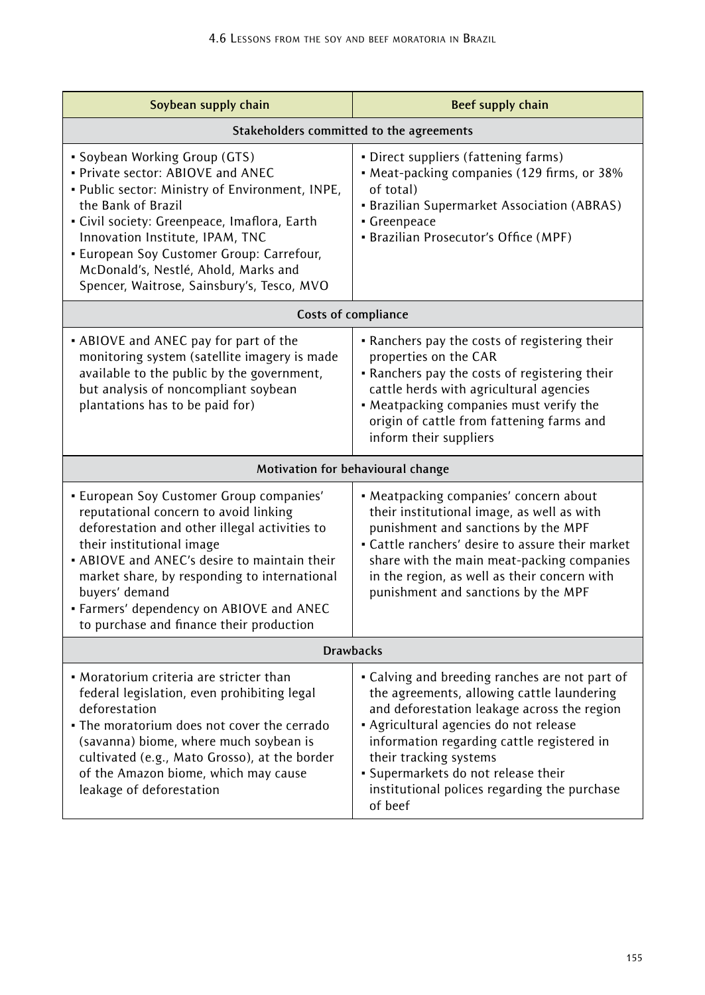| Soybean supply chain                                                                                                                                                                                                                                                                                                                                                      | <b>Beef supply chain</b>                                                                                                                                                                                                                                                                                                                                        |
|---------------------------------------------------------------------------------------------------------------------------------------------------------------------------------------------------------------------------------------------------------------------------------------------------------------------------------------------------------------------------|-----------------------------------------------------------------------------------------------------------------------------------------------------------------------------------------------------------------------------------------------------------------------------------------------------------------------------------------------------------------|
| Stakeholders committed to the agreements                                                                                                                                                                                                                                                                                                                                  |                                                                                                                                                                                                                                                                                                                                                                 |
| • Soybean Working Group (GTS)<br>. Private sector: ABIOVE and ANEC<br>. Public sector: Ministry of Environment, INPE,<br>the Bank of Brazil<br>· Civil society: Greenpeace, Imaflora, Earth<br>Innovation Institute, IPAM, TNC<br>• European Soy Customer Group: Carrefour,<br>McDonald's, Nestlé, Ahold, Marks and<br>Spencer, Waitrose, Sainsbury's, Tesco, MVO         | · Direct suppliers (fattening farms)<br>• Meat-packing companies (129 firms, or 38%<br>of total)<br>• Brazilian Supermarket Association (ABRAS)<br>• Greenpeace<br>· Brazilian Prosecutor's Office (MPF)                                                                                                                                                        |
| Costs of compliance                                                                                                                                                                                                                                                                                                                                                       |                                                                                                                                                                                                                                                                                                                                                                 |
| • ABIOVE and ANEC pay for part of the<br>monitoring system (satellite imagery is made<br>available to the public by the government,<br>but analysis of noncompliant soybean<br>plantations has to be paid for)                                                                                                                                                            | . Ranchers pay the costs of registering their<br>properties on the CAR<br>• Ranchers pay the costs of registering their<br>cattle herds with agricultural agencies<br>• Meatpacking companies must verify the<br>origin of cattle from fattening farms and<br>inform their suppliers                                                                            |
| Motivation for behavioural change                                                                                                                                                                                                                                                                                                                                         |                                                                                                                                                                                                                                                                                                                                                                 |
| • European Soy Customer Group companies'<br>reputational concern to avoid linking<br>deforestation and other illegal activities to<br>their institutional image<br>• ABIOVE and ANEC's desire to maintain their<br>market share, by responding to international<br>buyers' demand<br>• Farmers' dependency on ABIOVE and ANEC<br>to purchase and finance their production | • Meatpacking companies' concern about<br>their institutional image, as well as with<br>punishment and sanctions by the MPF<br>• Cattle ranchers' desire to assure their market<br>share with the main meat-packing companies<br>in the region, as well as their concern with<br>punishment and sanctions by the MPF                                            |
| <b>Drawbacks</b>                                                                                                                                                                                                                                                                                                                                                          |                                                                                                                                                                                                                                                                                                                                                                 |
| • Moratorium criteria are stricter than<br>federal legislation, even prohibiting legal<br>deforestation<br>• The moratorium does not cover the cerrado<br>(savanna) biome, where much soybean is<br>cultivated (e.g., Mato Grosso), at the border<br>of the Amazon biome, which may cause<br>leakage of deforestation                                                     | • Calving and breeding ranches are not part of<br>the agreements, allowing cattle laundering<br>and deforestation leakage across the region<br>· Agricultural agencies do not release<br>information regarding cattle registered in<br>their tracking systems<br>· Supermarkets do not release their<br>institutional polices regarding the purchase<br>of beef |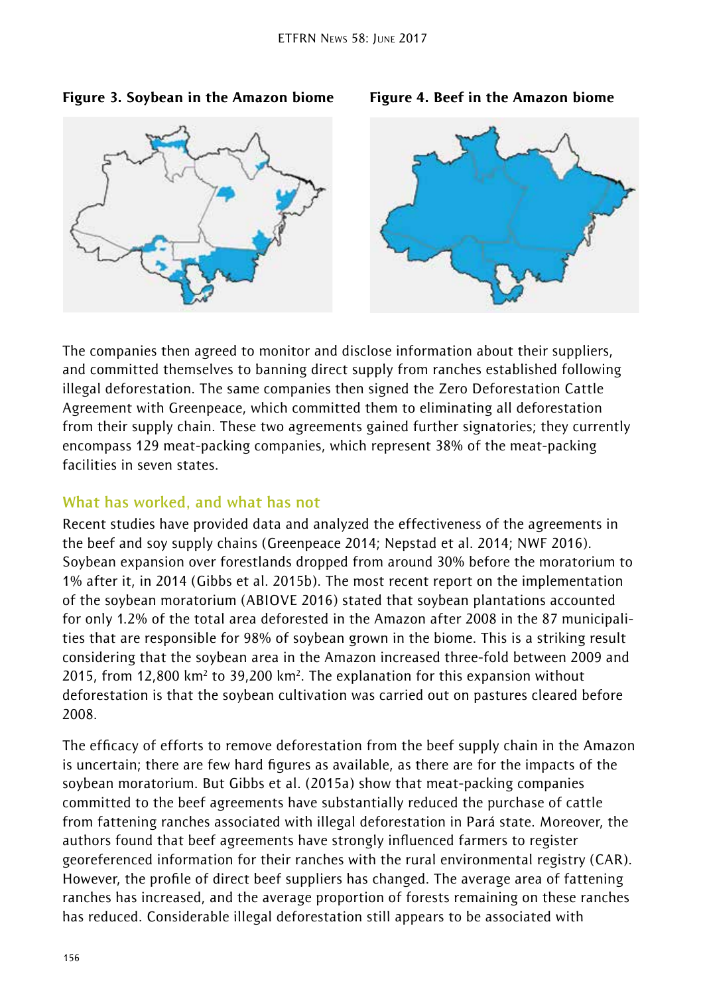### Figure 3. Soybean in the Amazon biome Figure 4. Beef in the Amazon biome



The companies then agreed to monitor and disclose information about their suppliers, and committed themselves to banning direct supply from ranches established following illegal deforestation. The same companies then signed the Zero Deforestation Cattle Agreement with Greenpeace, which committed them to eliminating all deforestation from their supply chain. These two agreements gained further signatories; they currently encompass 129 meat-packing companies, which represent 38% of the meat-packing facilities in seven states.

### **What has worked, and what has not**

Recent studies have provided data and analyzed the effectiveness of the agreements in the beef and soy supply chains (Greenpeace 2014; Nepstad et al. 2014; NWF 2016). Soybean expansion over forestlands dropped from around 30% before the moratorium to 1% after it, in 2014 (Gibbs et al. 2015b). The most recent report on the implementation of the soybean moratorium (ABIOVE 2016) stated that soybean plantations accounted for only 1.2% of the total area deforested in the Amazon after 2008 in the 87 municipalities that are responsible for 98% of soybean grown in the biome. This is a striking result considering that the soybean area in the Amazon increased three-fold between 2009 and 2015, from 12,800 km<sup>2</sup> to 39,200 km<sup>2</sup>. The explanation for this expansion without deforestation is that the soybean cultivation was carried out on pastures cleared before 2008.

The efficacy of efforts to remove deforestation from the beef supply chain in the Amazon is uncertain; there are few hard figures as available, as there are for the impacts of the soybean moratorium. But Gibbs et al. (2015a) show that meat-packing companies committed to the beef agreements have substantially reduced the purchase of cattle from fattening ranches associated with illegal deforestation in Pará state. Moreover, the authors found that beef agreements have strongly influenced farmers to register georeferenced information for their ranches with the rural environmental registry (CAR). However, the profile of direct beef suppliers has changed. The average area of fattening ranches has increased, and the average proportion of forests remaining on these ranches has reduced. Considerable illegal deforestation still appears to be associated with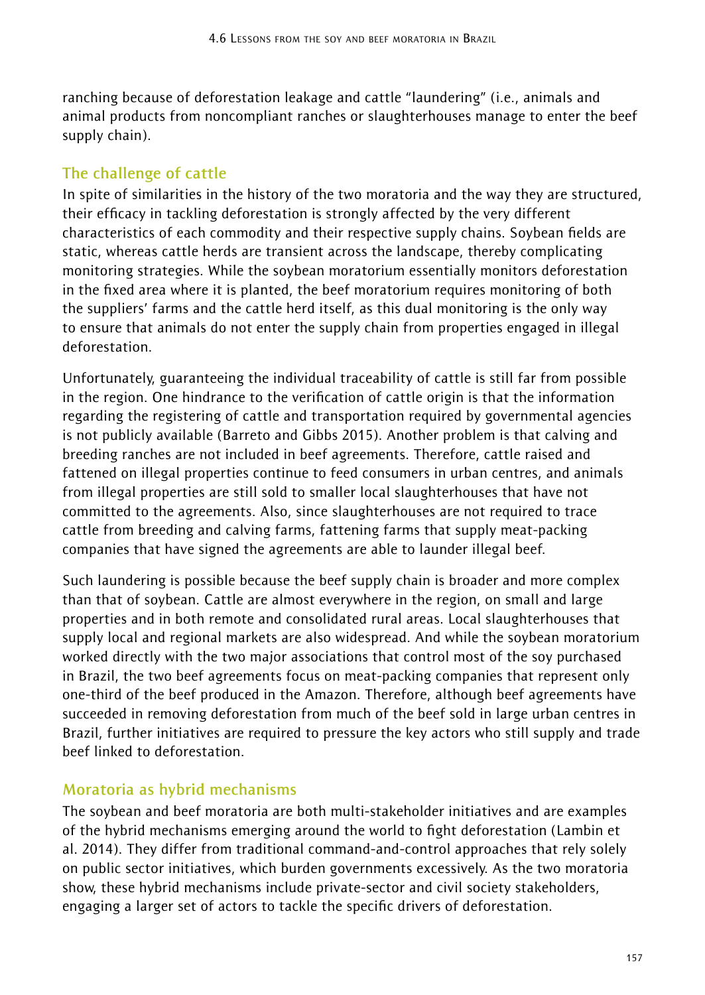ranching because of deforestation leakage and cattle "laundering" (i.e., animals and animal products from noncompliant ranches or slaughterhouses manage to enter the beef supply chain).

# **The challenge of cattle**

In spite of similarities in the history of the two moratoria and the way they are structured, their efficacy in tackling deforestation is strongly affected by the very different characteristics of each commodity and their respective supply chains. Soybean fields are static, whereas cattle herds are transient across the landscape, thereby complicating monitoring strategies. While the soybean moratorium essentially monitors deforestation in the fixed area where it is planted, the beef moratorium requires monitoring of both the suppliers' farms and the cattle herd itself, as this dual monitoring is the only way to ensure that animals do not enter the supply chain from properties engaged in illegal deforestation.

Unfortunately, guaranteeing the individual traceability of cattle is still far from possible in the region. One hindrance to the verification of cattle origin is that the information regarding the registering of cattle and transportation required by governmental agencies is not publicly available (Barreto and Gibbs 2015). Another problem is that calving and breeding ranches are not included in beef agreements. Therefore, cattle raised and fattened on illegal properties continue to feed consumers in urban centres, and animals from illegal properties are still sold to smaller local slaughterhouses that have not committed to the agreements. Also, since slaughterhouses are not required to trace cattle from breeding and calving farms, fattening farms that supply meat-packing companies that have signed the agreements are able to launder illegal beef.

Such laundering is possible because the beef supply chain is broader and more complex than that of soybean. Cattle are almost everywhere in the region, on small and large properties and in both remote and consolidated rural areas. Local slaughterhouses that supply local and regional markets are also widespread. And while the soybean moratorium worked directly with the two major associations that control most of the soy purchased in Brazil, the two beef agreements focus on meat-packing companies that represent only one-third of the beef produced in the Amazon. Therefore, although beef agreements have succeeded in removing deforestation from much of the beef sold in large urban centres in Brazil, further initiatives are required to pressure the key actors who still supply and trade beef linked to deforestation.

# **Moratoria as hybrid mechanisms**

The soybean and beef moratoria are both multi-stakeholder initiatives and are examples of the hybrid mechanisms emerging around the world to fight deforestation (Lambin et al. 2014). They differ from traditional command-and-control approaches that rely solely on public sector initiatives, which burden governments excessively. As the two moratoria show, these hybrid mechanisms include private-sector and civil society stakeholders, engaging a larger set of actors to tackle the specific drivers of deforestation.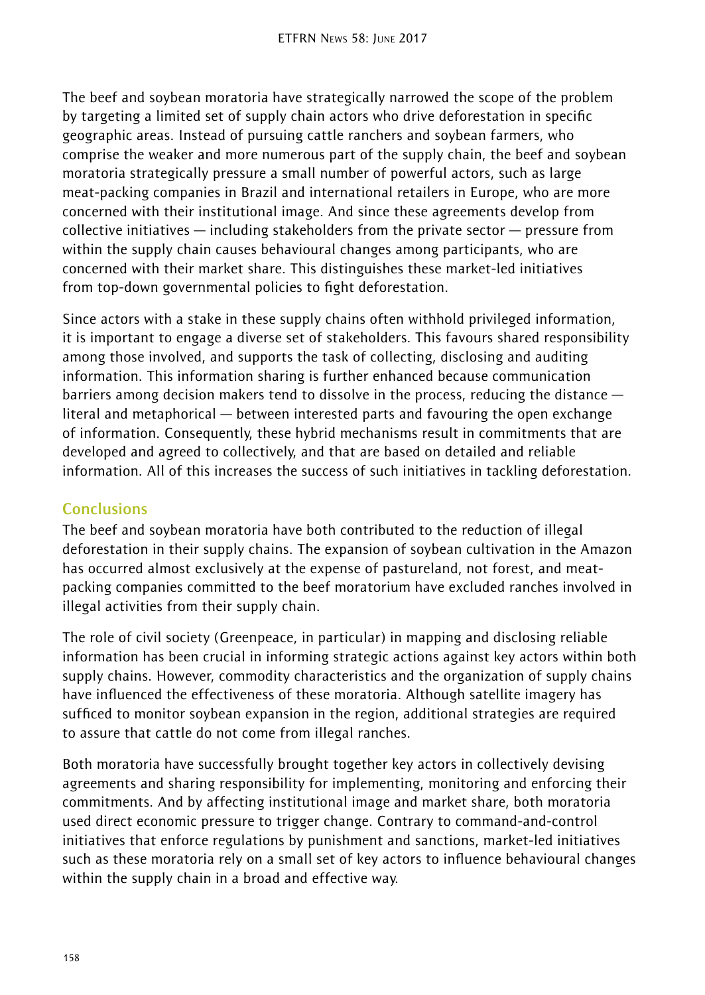The beef and soybean moratoria have strategically narrowed the scope of the problem by targeting a limited set of supply chain actors who drive deforestation in specific geographic areas. Instead of pursuing cattle ranchers and soybean farmers, who comprise the weaker and more numerous part of the supply chain, the beef and soybean moratoria strategically pressure a small number of powerful actors, such as large meat-packing companies in Brazil and international retailers in Europe, who are more concerned with their institutional image. And since these agreements develop from collective initiatives — including stakeholders from the private sector — pressure from within the supply chain causes behavioural changes among participants, who are concerned with their market share. This distinguishes these market-led initiatives from top-down governmental policies to fight deforestation.

Since actors with a stake in these supply chains often withhold privileged information, it is important to engage a diverse set of stakeholders. This favours shared responsibility among those involved, and supports the task of collecting, disclosing and auditing information. This information sharing is further enhanced because communication barriers among decision makers tend to dissolve in the process, reducing the distance literal and metaphorical — between interested parts and favouring the open exchange of information. Consequently, these hybrid mechanisms result in commitments that are developed and agreed to collectively, and that are based on detailed and reliable information. All of this increases the success of such initiatives in tackling deforestation.

# **Conclusions**

The beef and soybean moratoria have both contributed to the reduction of illegal deforestation in their supply chains. The expansion of soybean cultivation in the Amazon has occurred almost exclusively at the expense of pastureland, not forest, and meatpacking companies committed to the beef moratorium have excluded ranches involved in illegal activities from their supply chain.

The role of civil society (Greenpeace, in particular) in mapping and disclosing reliable information has been crucial in informing strategic actions against key actors within both supply chains. However, commodity characteristics and the organization of supply chains have influenced the effectiveness of these moratoria. Although satellite imagery has sufficed to monitor soybean expansion in the region, additional strategies are required to assure that cattle do not come from illegal ranches.

Both moratoria have successfully brought together key actors in collectively devising agreements and sharing responsibility for implementing, monitoring and enforcing their commitments. And by affecting institutional image and market share, both moratoria used direct economic pressure to trigger change. Contrary to command-and-control initiatives that enforce regulations by punishment and sanctions, market-led initiatives such as these moratoria rely on a small set of key actors to influence behavioural changes within the supply chain in a broad and effective way.